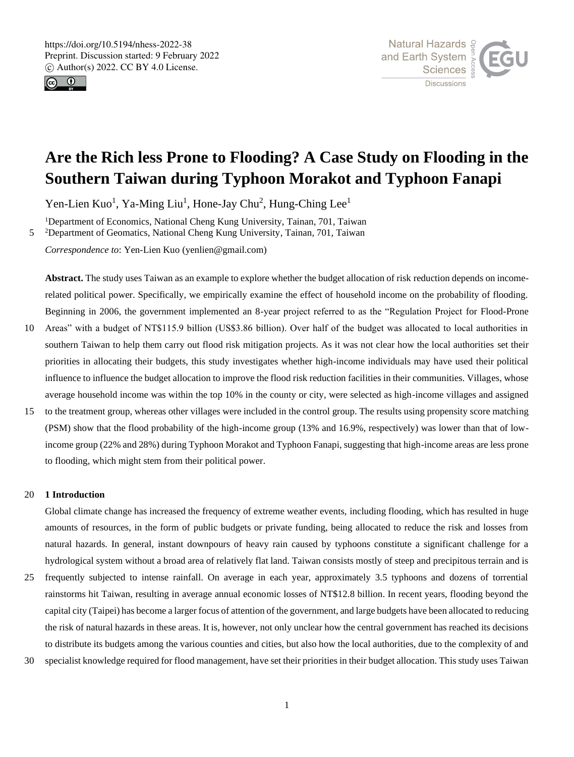

5



# **Are the Rich less Prone to Flooding? A Case Study on Flooding in the Southern Taiwan during Typhoon Morakot and Typhoon Fanapi**

Yen-Lien Kuo<sup>1</sup>, Ya-Ming Liu<sup>1</sup>, Hone-Jay Chu<sup>2</sup>, Hung-Ching Lee<sup>1</sup>

<sup>1</sup>Department of Economics, National Cheng Kung University, Tainan, 701, Taiwan

<sup>2</sup>Department of Geomatics, National Cheng Kung University, Tainan, 701, Taiwan

*Correspondence to*: Yen-Lien Kuo (yenlien@gmail.com)

**Abstract.** The study uses Taiwan as an example to explore whether the budget allocation of risk reduction depends on incomerelated political power. Specifically, we empirically examine the effect of household income on the probability of flooding. Beginning in 2006, the government implemented an 8-year project referred to as the "Regulation Project for Flood-Prone

- 10 Areas" with a budget of NT\$115.9 billion (US\$3.86 billion). Over half of the budget was allocated to local authorities in southern Taiwan to help them carry out flood risk mitigation projects. As it was not clear how the local authorities set their priorities in allocating their budgets, this study investigates whether high-income individuals may have used their political influence to influence the budget allocation to improve the flood risk reduction facilities in their communities. Villages, whose average household income was within the top 10% in the county or city, were selected as high-income villages and assigned
- 15 to the treatment group, whereas other villages were included in the control group. The results using propensity score matching (PSM) show that the flood probability of the high-income group (13% and 16.9%, respectively) was lower than that of lowincome group (22% and 28%) during Typhoon Morakot and Typhoon Fanapi, suggesting that high-income areas are less prone to flooding, which might stem from their political power.

## 20 **1 Introduction**

Global climate change has increased the frequency of extreme weather events, including flooding, which has resulted in huge amounts of resources, in the form of public budgets or private funding, being allocated to reduce the risk and losses from natural hazards. In general, instant downpours of heavy rain caused by typhoons constitute a significant challenge for a hydrological system without a broad area of relatively flat land. Taiwan consists mostly of steep and precipitous terrain and is

- 25 frequently subjected to intense rainfall. On average in each year, approximately 3.5 typhoons and dozens of torrential rainstorms hit Taiwan, resulting in average annual economic losses of NT\$12.8 billion. In recent years, flooding beyond the capital city (Taipei) has become a larger focus of attention of the government, and large budgets have been allocated to reducing the risk of natural hazards in these areas. It is, however, not only unclear how the central government has reached its decisions to distribute its budgets among the various counties and cities, but also how the local authorities, due to the complexity of and
- 30 specialist knowledge required for flood management, have set their priorities in their budget allocation. This study uses Taiwan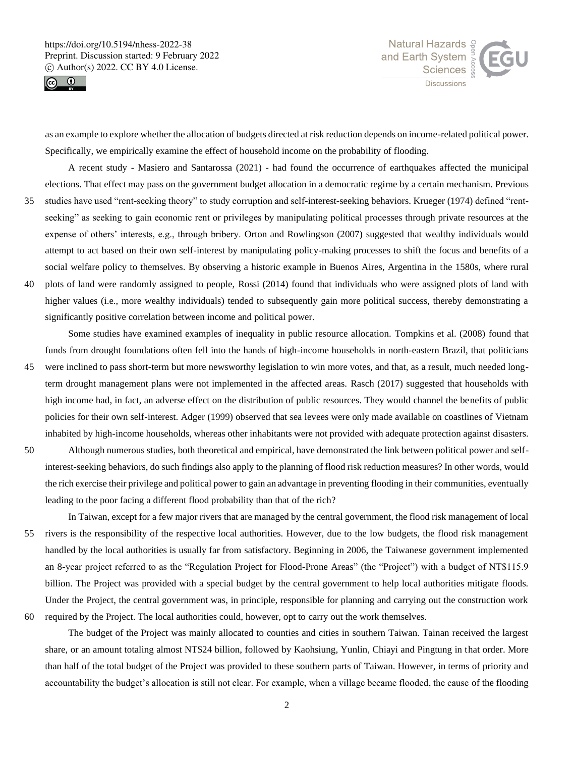



as an example to explore whether the allocation of budgets directed at risk reduction depends on income-related political power. Specifically, we empirically examine the effect of household income on the probability of flooding.

A recent study - Masiero and Santarossa (2021) - had found the occurrence of earthquakes affected the municipal elections. That effect may pass on the government budget allocation in a democratic regime by a certain mechanism. Previous

- 35 studies have used "rent-seeking theory" to study corruption and self-interest-seeking behaviors. Krueger (1974) defined "rentseeking" as seeking to gain economic rent or privileges by manipulating political processes through private resources at the expense of others' interests, e.g., through bribery. Orton and Rowlingson (2007) suggested that wealthy individuals would attempt to act based on their own self-interest by manipulating policy-making processes to shift the focus and benefits of a social welfare policy to themselves. By observing a historic example in Buenos Aires, Argentina in the 1580s, where rural
- 40 plots of land were randomly assigned to people, Rossi (2014) found that individuals who were assigned plots of land with higher values (i.e., more wealthy individuals) tended to subsequently gain more political success, thereby demonstrating a significantly positive correlation between income and political power.

Some studies have examined examples of inequality in public resource allocation. Tompkins et al. (2008) found that funds from drought foundations often fell into the hands of high-income households in north-eastern Brazil, that politicians 45 were inclined to pass short-term but more newsworthy legislation to win more votes, and that, as a result, much needed longterm drought management plans were not implemented in the affected areas. Rasch (2017) suggested that households with

- high income had, in fact, an adverse effect on the distribution of public resources. They would channel the benefits of public policies for their own self-interest. Adger (1999) observed that sea levees were only made available on coastlines of Vietnam inhabited by high-income households, whereas other inhabitants were not provided with adequate protection against disasters.
- 50 Although numerous studies, both theoretical and empirical, have demonstrated the link between political power and selfinterest-seeking behaviors, do such findings also apply to the planning of flood risk reduction measures? In other words, would the rich exercise their privilege and political power to gain an advantage in preventing flooding in their communities, eventually leading to the poor facing a different flood probability than that of the rich?
- In Taiwan, except for a few major rivers that are managed by the central government, the flood risk management of local 55 rivers is the responsibility of the respective local authorities. However, due to the low budgets, the flood risk management handled by the local authorities is usually far from satisfactory. Beginning in 2006, the Taiwanese government implemented an 8-year project referred to as the "Regulation Project for Flood-Prone Areas" (the "Project") with a budget of NT\$115.9 billion. The Project was provided with a special budget by the central government to help local authorities mitigate floods. Under the Project, the central government was, in principle, responsible for planning and carrying out the construction work 60 required by the Project. The local authorities could, however, opt to carry out the work themselves.
- 

The budget of the Project was mainly allocated to counties and cities in southern Taiwan. Tainan received the largest share, or an amount totaling almost NT\$24 billion, followed by Kaohsiung, Yunlin, Chiayi and Pingtung in that order. More than half of the total budget of the Project was provided to these southern parts of Taiwan. However, in terms of priority and accountability the budget's allocation is still not clear. For example, when a village became flooded, the cause of the flooding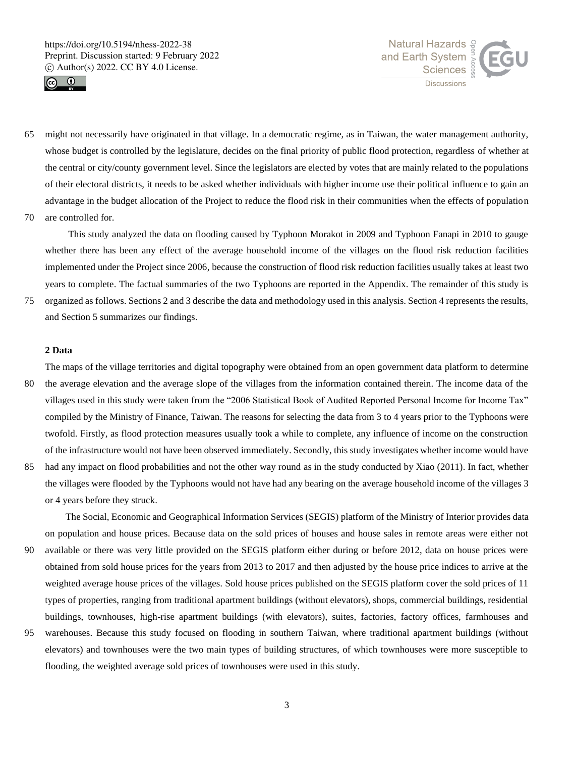



- 65 might not necessarily have originated in that village. In a democratic regime, as in Taiwan, the water management authority, whose budget is controlled by the legislature, decides on the final priority of public flood protection, regardless of whether at the central or city/county government level. Since the legislators are elected by votes that are mainly related to the populations of their electoral districts, it needs to be asked whether individuals with higher income use their political influence to gain an advantage in the budget allocation of the Project to reduce the flood risk in their communities when the effects of population 70 are controlled for.
	- This study analyzed the data on flooding caused by Typhoon Morakot in 2009 and Typhoon Fanapi in 2010 to gauge whether there has been any effect of the average household income of the villages on the flood risk reduction facilities implemented under the Project since 2006, because the construction of flood risk reduction facilities usually takes at least two years to complete. The factual summaries of the two Typhoons are reported in the Appendix. The remainder of this study is
- 75 organized as follows. Sections 2 and 3 describe the data and methodology used in this analysis. Section 4 represents the results, and Section 5 summarizes our findings.

# **2 Data**

The maps of the village territories and digital topography were obtained from an open government data platform to determine

- 80 the average elevation and the average slope of the villages from the information contained therein. The income data of the villages used in this study were taken from the "2006 Statistical Book of Audited Reported Personal Income for Income Tax" compiled by the Ministry of Finance, Taiwan. The reasons for selecting the data from 3 to 4 years prior to the Typhoons were twofold. Firstly, as flood protection measures usually took a while to complete, any influence of income on the construction of the infrastructure would not have been observed immediately. Secondly, this study investigates whether income would have
- 85 had any impact on flood probabilities and not the other way round as in the study conducted by Xiao (2011). In fact, whether the villages were flooded by the Typhoons would not have had any bearing on the average household income of the villages 3 or 4 years before they struck.

The Social, Economic and Geographical Information Services (SEGIS) platform of the Ministry of Interior provides data on population and house prices. Because data on the sold prices of houses and house sales in remote areas were either not

- 90 available or there was very little provided on the SEGIS platform either during or before 2012, data on house prices were obtained from sold house prices for the years from 2013 to 2017 and then adjusted by the house price indices to arrive at the weighted average house prices of the villages. Sold house prices published on the SEGIS platform cover the sold prices of 11 types of properties, ranging from traditional apartment buildings (without elevators), shops, commercial buildings, residential buildings, townhouses, high-rise apartment buildings (with elevators), suites, factories, factory offices, farmhouses and
- 95 warehouses. Because this study focused on flooding in southern Taiwan, where traditional apartment buildings (without elevators) and townhouses were the two main types of building structures, of which townhouses were more susceptible to flooding, the weighted average sold prices of townhouses were used in this study.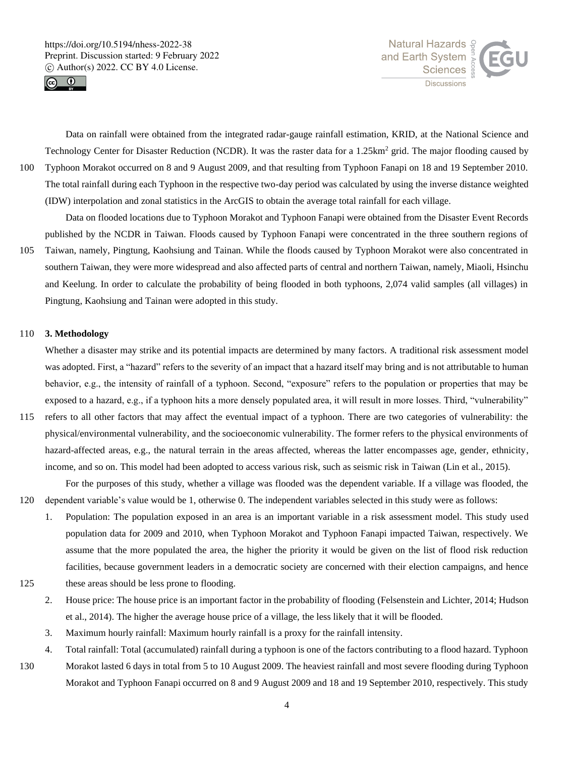Pingtung, Kaohsiung and Tainan were adopted in this study.





Data on rainfall were obtained from the integrated radar-gauge rainfall estimation, KRID, at the National Science and Technology Center for Disaster Reduction (NCDR). It was the raster data for a 1.25km<sup>2</sup> grid. The major flooding caused by 100 Typhoon Morakot occurred on 8 and 9 August 2009, and that resulting from Typhoon Fanapi on 18 and 19 September 2010. The total rainfall during each Typhoon in the respective two-day period was calculated by using the inverse distance weighted (IDW) interpolation and zonal statistics in the ArcGIS to obtain the average total rainfall for each village.

Data on flooded locations due to Typhoon Morakot and Typhoon Fanapi were obtained from the Disaster Event Records published by the NCDR in Taiwan. Floods caused by Typhoon Fanapi were concentrated in the three southern regions of 105 Taiwan, namely, Pingtung, Kaohsiung and Tainan. While the floods caused by Typhoon Morakot were also concentrated in southern Taiwan, they were more widespread and also affected parts of central and northern Taiwan, namely, Miaoli, Hsinchu and Keelung. In order to calculate the probability of being flooded in both typhoons, 2,074 valid samples (all villages) in

#### 110 **3. Methodology**

Whether a disaster may strike and its potential impacts are determined by many factors. A traditional risk assessment model was adopted. First, a "hazard" refers to the severity of an impact that a hazard itself may bring and is not attributable to human behavior, e.g., the intensity of rainfall of a typhoon. Second, "exposure" refers to the population or properties that may be exposed to a hazard, e.g., if a typhoon hits a more densely populated area, it will result in more losses. Third, "vulnerability"

115 refers to all other factors that may affect the eventual impact of a typhoon. There are two categories of vulnerability: the physical/environmental vulnerability, and the socioeconomic vulnerability. The former refers to the physical environments of hazard-affected areas, e.g., the natural terrain in the areas affected, whereas the latter encompasses age, gender, ethnicity, income, and so on. This model had been adopted to access various risk, such as seismic risk in Taiwan (Lin et al., 2015).

For the purposes of this study, whether a village was flooded was the dependent variable. If a village was flooded, the 120 dependent variable's value would be 1, otherwise 0. The independent variables selected in this study were as follows:

- 1. Population: The population exposed in an area is an important variable in a risk assessment model. This study used population data for 2009 and 2010, when Typhoon Morakot and Typhoon Fanapi impacted Taiwan, respectively. We assume that the more populated the area, the higher the priority it would be given on the list of flood risk reduction facilities, because government leaders in a democratic society are concerned with their election campaigns, and hence 125 these areas should be less prone to flooding.
- 
- 2. House price: The house price is an important factor in the probability of flooding (Felsenstein and Lichter, 2014; Hudson et al., 2014). The higher the average house price of a village, the less likely that it will be flooded.
- 3. Maximum hourly rainfall: Maximum hourly rainfall is a proxy for the rainfall intensity.
- 4. Total rainfall: Total (accumulated) rainfall during a typhoon is one of the factors contributing to a flood hazard. Typhoon
- 130 Morakot lasted 6 days in total from 5 to 10 August 2009. The heaviest rainfall and most severe flooding during Typhoon Morakot and Typhoon Fanapi occurred on 8 and 9 August 2009 and 18 and 19 September 2010, respectively. This study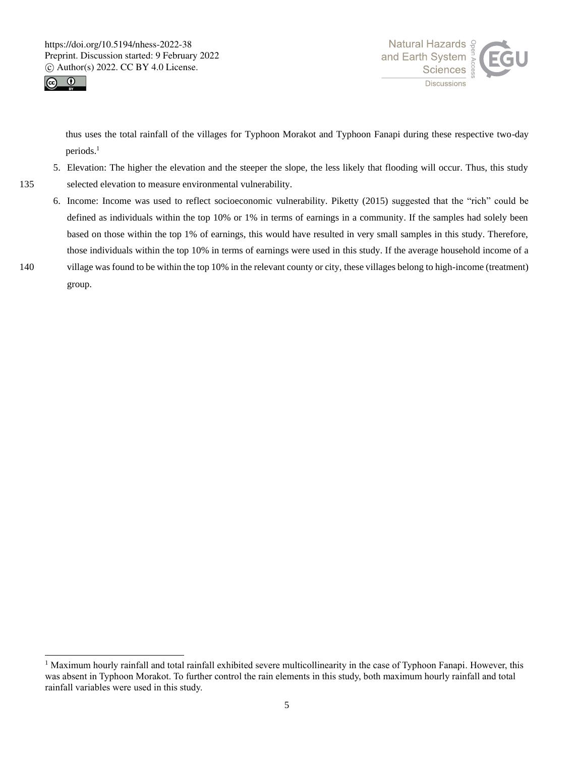



thus uses the total rainfall of the villages for Typhoon Morakot and Typhoon Fanapi during these respective two-day periods.<sup>1</sup>

- 5. Elevation: The higher the elevation and the steeper the slope, the less likely that flooding will occur. Thus, this study 135 selected elevation to measure environmental vulnerability.
- 6. Income: Income was used to reflect socioeconomic vulnerability. Piketty (2015) suggested that the "rich" could be defined as individuals within the top 10% or 1% in terms of earnings in a community. If the samples had solely been based on those within the top 1% of earnings, this would have resulted in very small samples in this study. Therefore, those individuals within the top 10% in terms of earnings were used in this study. If the average household income of a 140 village was found to be within the top 10% in the relevant county or city, these villages belong to high-income (treatment)
- 

group.

 $<sup>1</sup>$  Maximum hourly rainfall and total rainfall exhibited severe multicollinearity in the case of Typhoon Fanapi. However, this</sup> was absent in Typhoon Morakot. To further control the rain elements in this study, both maximum hourly rainfall and total rainfall variables were used in this study.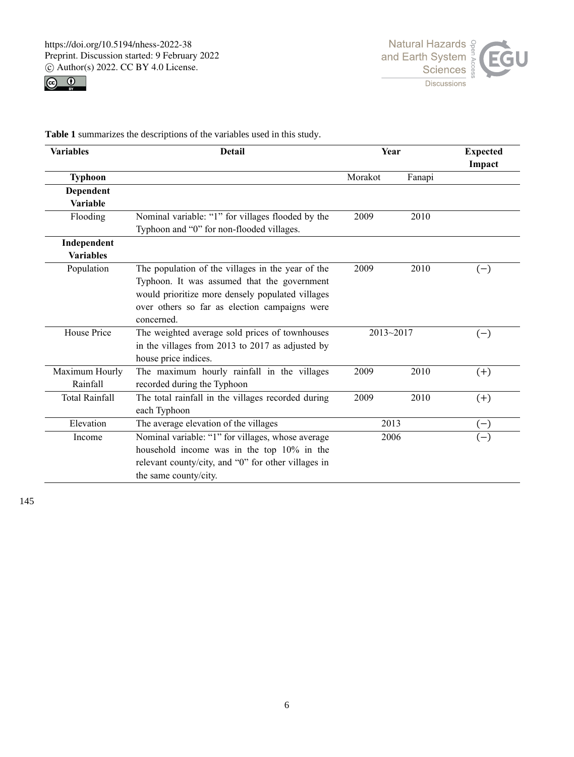



**Table 1** summarizes the descriptions of the variables used in this study.

| <b>Variables</b>      | <b>Detail</b>                                       | Year    |           | <b>Expected</b><br>Impact |  |
|-----------------------|-----------------------------------------------------|---------|-----------|---------------------------|--|
| <b>Typhoon</b>        |                                                     | Morakot | Fanapi    |                           |  |
| Dependent             |                                                     |         |           |                           |  |
| <b>Variable</b>       |                                                     |         |           |                           |  |
| Flooding              | Nominal variable: "1" for villages flooded by the   | 2009    | 2010      |                           |  |
|                       | Typhoon and "0" for non-flooded villages.           |         |           |                           |  |
| Independent           |                                                     |         |           |                           |  |
| <b>Variables</b>      |                                                     |         |           |                           |  |
| Population            | The population of the villages in the year of the   | 2009    | 2010      | $(-)$                     |  |
|                       | Typhoon. It was assumed that the government         |         |           |                           |  |
|                       | would prioritize more densely populated villages    |         |           |                           |  |
|                       | over others so far as election campaigns were       |         |           |                           |  |
|                       | concerned.                                          |         |           |                           |  |
| House Price           | The weighted average sold prices of townhouses      |         | 2013~2017 | $(-)$                     |  |
|                       | in the villages from 2013 to 2017 as adjusted by    |         |           |                           |  |
|                       | house price indices.                                |         |           |                           |  |
| Maximum Hourly        | The maximum hourly rainfall in the villages         | 2009    | 2010      | $(+)$                     |  |
| Rainfall              | recorded during the Typhoon                         |         |           |                           |  |
| <b>Total Rainfall</b> | The total rainfall in the villages recorded during  |         | 2010      | $(+)$                     |  |
|                       | each Typhoon                                        |         |           |                           |  |
| Elevation             | The average elevation of the villages               | 2013    |           | $(-)$                     |  |
| Income                | Nominal variable: "1" for villages, whose average   |         | 2006      | $(-)$                     |  |
|                       | household income was in the top 10% in the          |         |           |                           |  |
|                       | relevant county/city, and "0" for other villages in |         |           |                           |  |
|                       | the same county/city.                               |         |           |                           |  |

145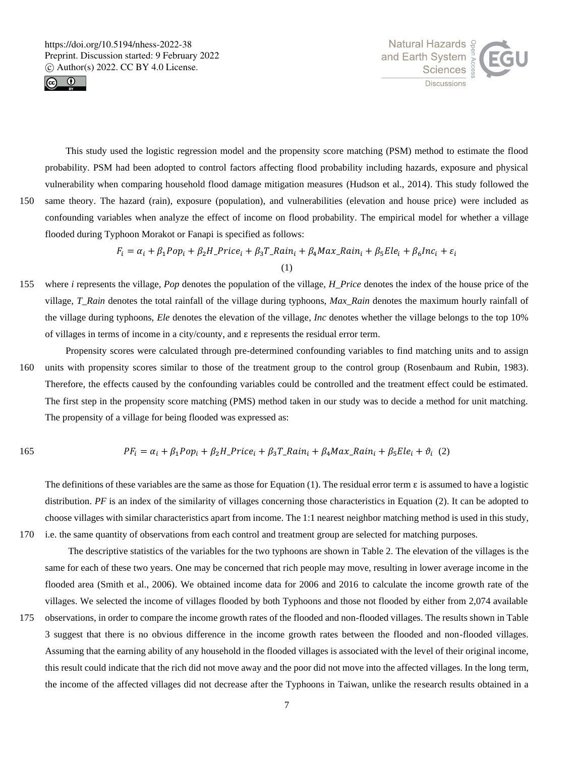



This study used the logistic regression model and the propensity score matching (PSM) method to estimate the flood probability. PSM had been adopted to control factors affecting flood probability including hazards, exposure and physical vulnerability when comparing household flood damage mitigation measures (Hudson et al., 2014). This study followed the

150 same theory. The hazard (rain), exposure (population), and vulnerabilities (elevation and house price) were included as confounding variables when analyze the effect of income on flood probability. The empirical model for whether a village flooded during Typhoon Morakot or Fanapi is specified as follows:

> $F_i = \alpha_i + \beta_1 Pop_i + \beta_2 H\_Price_i + \beta_3 T\_Rain_i + \beta_4 Max\_Rain_i + \beta_5 Ele_i + \beta_6 Inc_i + \varepsilon_i$ (1)

- 155 where *i* represents the village, *Pop* denotes the population of the village, *H\_Price* denotes the index of the house price of the village, *T\_Rain* denotes the total rainfall of the village during typhoons, *Max\_Rain* denotes the maximum hourly rainfall of the village during typhoons, *Ele* denotes the elevation of the village, *Inc* denotes whether the village belongs to the top 10% of villages in terms of income in a city/county, and ε represents the residual error term.
- Propensity scores were calculated through pre-determined confounding variables to find matching units and to assign 160 units with propensity scores similar to those of the treatment group to the control group (Rosenbaum and Rubin, 1983). Therefore, the effects caused by the confounding variables could be controlled and the treatment effect could be estimated. The first step in the propensity score matching (PMS) method taken in our study was to decide a method for unit matching. The propensity of a village for being flooded was expressed as:

165 
$$
PF_i = \alpha_i + \beta_1 Pop_i + \beta_2 H\_Price_i + \beta_3 T\_Rain_i + \beta_4 Max\_Rain_i + \beta_5 Ele_i + \vartheta_i \tag{2}
$$

The definitions of these variables are the same as those for Equation (1). The residual error term  $\varepsilon$  is assumed to have a logistic distribution. PF is an index of the similarity of villages concerning those characteristics in Equation (2). It can be adopted to choose villages with similar characteristics apart from income. The 1:1 nearest neighbor matching method is used in this study, 170 i.e. the same quantity of observations from each control and treatment group are selected for matching purposes.

The descriptive statistics of the variables for the two typhoons are shown in Table 2. The elevation of the villages is the same for each of these two years. One may be concerned that rich people may move, resulting in lower average income in the flooded area (Smith et al., 2006). We obtained income data for 2006 and 2016 to calculate the income growth rate of the villages. We selected the income of villages flooded by both Typhoons and those not flooded by either from 2,074 available

175 observations, in order to compare the income growth rates of the flooded and non-flooded villages. The results shown in Table 3 suggest that there is no obvious difference in the income growth rates between the flooded and non-flooded villages. Assuming that the earning ability of any household in the flooded villages is associated with the level of their original income, this result could indicate that the rich did not move away and the poor did not move into the affected villages. In the long term, the income of the affected villages did not decrease after the Typhoons in Taiwan, unlike the research results obtained in a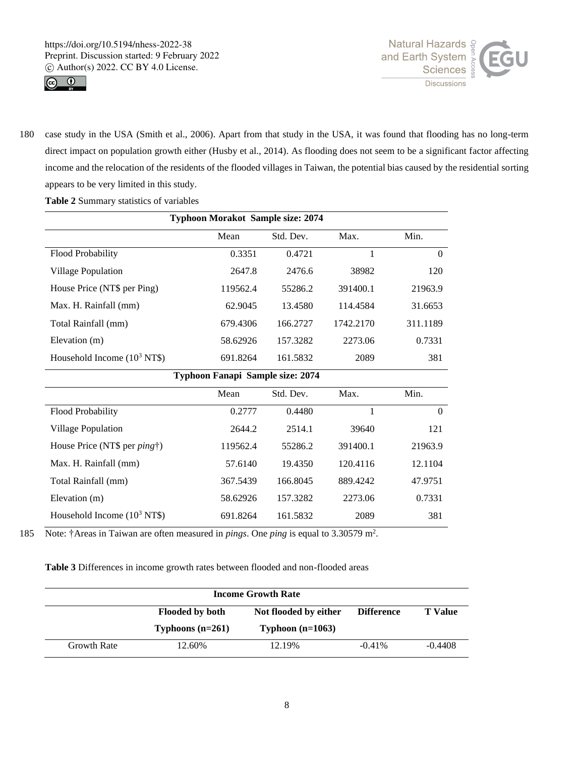



180 case study in the USA (Smith et al., 2006). Apart from that study in the USA, it was found that flooding has no long-term direct impact on population growth either (Husby et al., 2014). As flooding does not seem to be a significant factor affecting income and the relocation of the residents of the flooded villages in Taiwan, the potential bias caused by the residential sorting appears to be very limited in this study.

**Table 2** Summary statistics of variables

| <b>Typhoon Morakot Sample size: 2074</b> |          |           |           |          |  |  |  |
|------------------------------------------|----------|-----------|-----------|----------|--|--|--|
|                                          | Mean     | Std. Dev. | Max.      | Min.     |  |  |  |
| Flood Probability                        | 0.3351   | 0.4721    | 1         | $\Omega$ |  |  |  |
| <b>Village Population</b>                | 2647.8   | 2476.6    | 38982     | 120      |  |  |  |
| House Price (NT\$ per Ping)              | 119562.4 | 55286.2   | 391400.1  | 21963.9  |  |  |  |
| Max. H. Rainfall (mm)                    | 62.9045  | 13.4580   | 114.4584  | 31.6653  |  |  |  |
| Total Rainfall (mm)                      | 679.4306 | 166.2727  | 1742.2170 | 311.1189 |  |  |  |
| Elevation (m)                            | 58.62926 | 157.3282  | 2273.06   | 0.7331   |  |  |  |
| Household Income $(10^3 \text{ NT}\$)$   | 691.8264 | 161.5832  | 2089      | 381      |  |  |  |
| Typhoon Fanapi Sample size: 2074         |          |           |           |          |  |  |  |
| Min.<br>Std. Dev.<br>Max.<br>Mean        |          |           |           |          |  |  |  |
| <b>Flood Probability</b>                 | 0.2777   | 0.4480    | 1         | $\theta$ |  |  |  |
| Village Population                       | 2644.2   | 2514.1    | 39640     | 121      |  |  |  |
| House Price (NT\$ per <i>ping</i> †)     | 119562.4 | 55286.2   | 391400.1  | 21963.9  |  |  |  |
| Max. H. Rainfall (mm)                    | 57.6140  | 19.4350   | 120.4116  | 12.1104  |  |  |  |
| Total Rainfall (mm)                      | 367.5439 | 166.8045  | 889.4242  | 47.9751  |  |  |  |
| Elevation (m)                            | 58.62926 | 157.3282  | 2273.06   | 0.7331   |  |  |  |
| Household Income $(10^3 \text{ NT}\$)$   | 691.8264 | 161.5832  | 2089      | 381      |  |  |  |

185 Note: †Areas in Taiwan are often measured in *pings*. One *ping* is equal to 3.30579 m<sup>2</sup>.

**Table 3** Differences in income growth rates between flooded and non-flooded areas

| <b>Income Growth Rate</b> |                        |                       |                   |                |  |  |
|---------------------------|------------------------|-----------------------|-------------------|----------------|--|--|
|                           | <b>Flooded by both</b> | Not flooded by either | <b>Difference</b> | <b>T</b> Value |  |  |
|                           | Typhoons $(n=261)$     | Typhoon $(n=1063)$    |                   |                |  |  |
| <b>Growth Rate</b>        | 12.60%                 | 12.19%                | $-0.41\%$         | $-0.4408$      |  |  |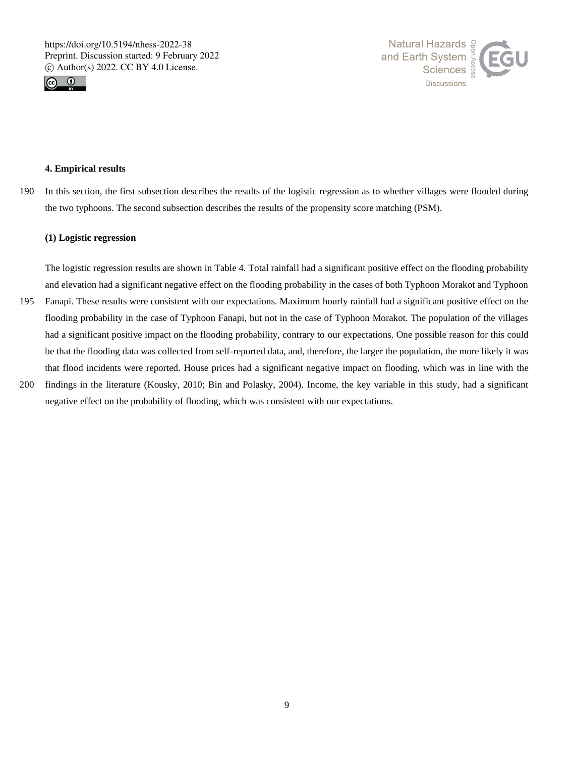



## **4. Empirical results**

190 In this section, the first subsection describes the results of the logistic regression as to whether villages were flooded during the two typhoons. The second subsection describes the results of the propensity score matching (PSM).

# **(1) Logistic regression**

The logistic regression results are shown in Table 4. Total rainfall had a significant positive effect on the flooding probability and elevation had a significant negative effect on the flooding probability in the cases of both Typhoon Morakot and Typhoon 195 Fanapi. These results were consistent with our expectations. Maximum hourly rainfall had a significant positive effect on the flooding probability in the case of Typhoon Fanapi, but not in the case of Typhoon Morakot. The population of the villages had a significant positive impact on the flooding probability, contrary to our expectations. One possible reason for this could be that the flooding data was collected from self-reported data, and, therefore, the larger the population, the more likely it was that flood incidents were reported. House prices had a significant negative impact on flooding, which was in line with the

200 findings in the literature (Kousky, 2010; Bin and Polasky, 2004). Income, the key variable in this study, had a significant negative effect on the probability of flooding, which was consistent with our expectations.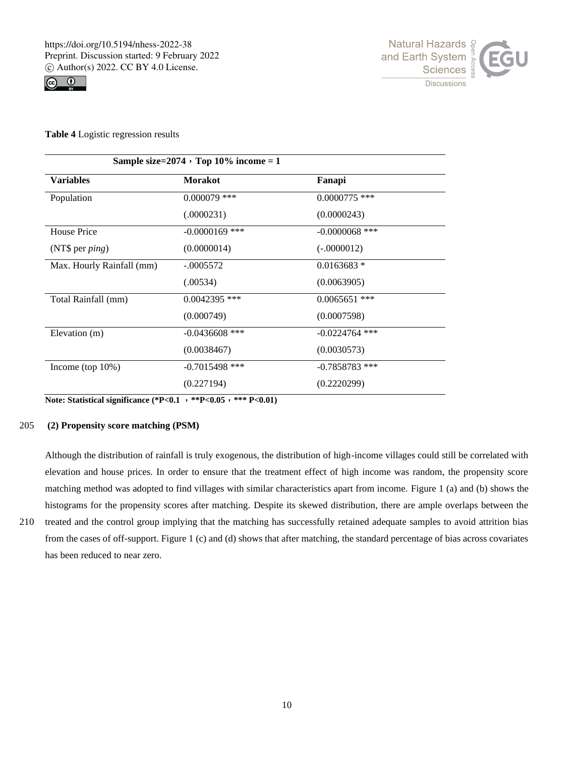



**Table 4** Logistic regression results

| Sample size= $2074 \cdot Top 10\%$ income = 1 |                  |                  |  |  |
|-----------------------------------------------|------------------|------------------|--|--|
| <b>Variables</b>                              | <b>Morakot</b>   | Fanapi           |  |  |
| Population                                    | $0.000079$ ***   | $0.0000775$ ***  |  |  |
|                                               | (.0000231)       | (0.0000243)      |  |  |
| House Price                                   | $-0.0000169$ *** | $-0.0000068$ *** |  |  |
| (NT\$ per $ping$ )                            | (0.0000014)      | $(-.0000012)$    |  |  |
| Max. Hourly Rainfall (mm)                     | $-.0005572$      | $0.0163683*$     |  |  |
|                                               | (.00534)         | (0.0063905)      |  |  |
| Total Rainfall (mm)                           | $0.0042395$ ***  | $0.0065651$ ***  |  |  |
|                                               | (0.000749)       | (0.0007598)      |  |  |
| Elevation (m)                                 | $-0.0436608$ *** | $-0.0224764$ *** |  |  |
|                                               | (0.0038467)      | (0.0030573)      |  |  |
| Income (top $10\%$ )                          | $-0.7015498$ *** | $-0.7858783$ *** |  |  |
|                                               | (0.227194)       | (0.2220299)      |  |  |

**Note: Statistical significance (\*P<0.1** ,**\*\*P<0.05**,**\*\*\* P<0.01)**

# 205 **(2) Propensity score matching (PSM)**

Although the distribution of rainfall is truly exogenous, the distribution of high-income villages could still be correlated with elevation and house prices. In order to ensure that the treatment effect of high income was random, the propensity score matching method was adopted to find villages with similar characteristics apart from income. Figure 1 (a) and (b) shows the histograms for the propensity scores after matching. Despite its skewed distribution, there are ample overlaps between the

210 treated and the control group implying that the matching has successfully retained adequate samples to avoid attrition bias from the cases of off-support. Figure 1 (c) and (d) shows that after matching, the standard percentage of bias across covariates has been reduced to near zero.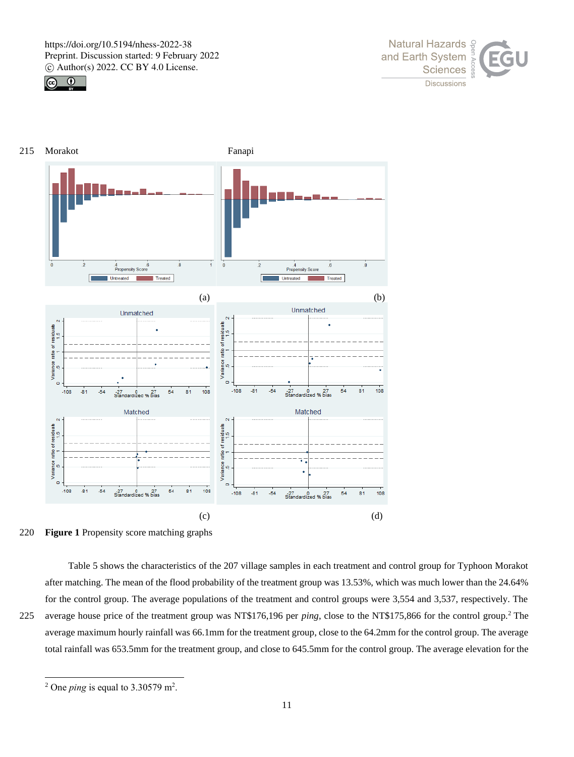







Table 5 shows the characteristics of the 207 village samples in each treatment and control group for Typhoon Morakot after matching. The mean of the flood probability of the treatment group was 13.53%, which was much lower than the 24.64% for the control group. The average populations of the treatment and control groups were 3,554 and 3,537, respectively. The 225 average house price of the treatment group was NT\$176,196 per *ping*, close to the NT\$175,866 for the control group.<sup>2</sup> The average maximum hourly rainfall was 66.1mm for the treatment group, close to the 64.2mm for the control group. The average

total rainfall was 653.5mm for the treatment group, and close to 645.5mm for the control group. The average elevation for the

<sup>&</sup>lt;sup>2</sup> One *ping* is equal to  $3.30579$  m<sup>2</sup>.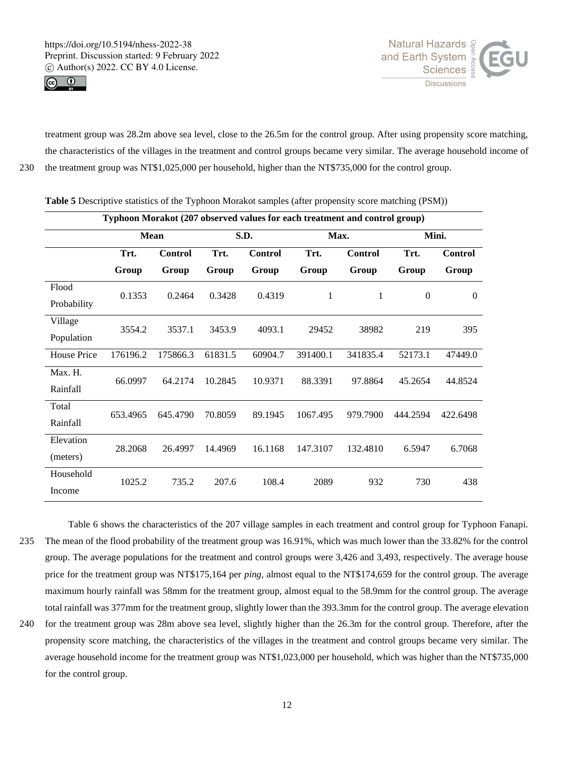



treatment group was 28.2m above sea level, close to the 26.5m for the control group. After using propensity score matching, the characteristics of the villages in the treatment and control groups became very similar. The average household income of 230 the treatment group was NT\$1,025,000 per household, higher than the NT\$735,000 for the control group.

| Typhoon Morakot (207 observed values for each treatment and control group) |          |                |         |                |          |                |                  |                |
|----------------------------------------------------------------------------|----------|----------------|---------|----------------|----------|----------------|------------------|----------------|
|                                                                            |          | <b>Mean</b>    |         | S.D.           |          | Max.           | Mini.            |                |
|                                                                            | Trt.     | <b>Control</b> | Trt.    | <b>Control</b> | Trt.     | <b>Control</b> | Trt.             | <b>Control</b> |
|                                                                            | Group    | Group          | Group   | Group          | Group    | Group          | Group            | Group          |
| Flood                                                                      | 0.1353   | 0.2464         | 0.3428  | 0.4319         | 1        | $\mathbf{1}$   | $\boldsymbol{0}$ | $\theta$       |
| Probability                                                                |          |                |         |                |          |                |                  |                |
| Village                                                                    | 3554.2   | 3537.1         | 3453.9  | 4093.1         | 29452    | 38982          | 219              | 395            |
| Population                                                                 |          |                |         |                |          |                |                  |                |
| House Price                                                                | 176196.2 | 175866.3       | 61831.5 | 60904.7        | 391400.1 | 341835.4       | 52173.1          | 47449.0        |
| Max. H.                                                                    | 66.0997  | 64.2174        | 10.2845 | 10.9371        | 88.3391  | 97.8864        | 45.2654          | 44.8524        |
| Rainfall                                                                   |          |                |         |                |          |                |                  |                |
| Total                                                                      | 653.4965 | 645.4790       | 70.8059 | 89.1945        | 1067.495 | 979.7900       | 444.2594         | 422.6498       |
| Rainfall                                                                   |          |                |         |                |          |                |                  |                |
| Elevation                                                                  | 28.2068  | 26.4997        | 14.4969 | 16.1168        | 147.3107 | 132.4810       | 6.5947           | 6.7068         |
| (meters)                                                                   |          |                |         |                |          |                |                  |                |
| Household                                                                  | 1025.2   | 735.2          | 207.6   | 108.4          | 2089     | 932            | 730              | 438            |
| Income                                                                     |          |                |         |                |          |                |                  |                |

**Table 5** Descriptive statistics of the Typhoon Morakot samples (after propensity score matching (PSM))

Table 6 shows the characteristics of the 207 village samples in each treatment and control group for Typhoon Fanapi. 235 The mean of the flood probability of the treatment group was 16.91%, which was much lower than the 33.82% for the control group. The average populations for the treatment and control groups were 3,426 and 3,493, respectively. The average house price for the treatment group was NT\$175,164 per *ping*, almost equal to the NT\$174,659 for the control group. The average maximum hourly rainfall was 58mm for the treatment group, almost equal to the 58.9mm for the control group. The average total rainfall was 377mm for the treatment group, slightly lower than the 393.3mm for the control group. The average elevation 240 for the treatment group was 28m above sea level, slightly higher than the 26.3m for the control group. Therefore, after the

propensity score matching, the characteristics of the villages in the treatment and control groups became very similar. The average household income for the treatment group was NT\$1,023,000 per household, which was higher than the NT\$735,000 for the control group.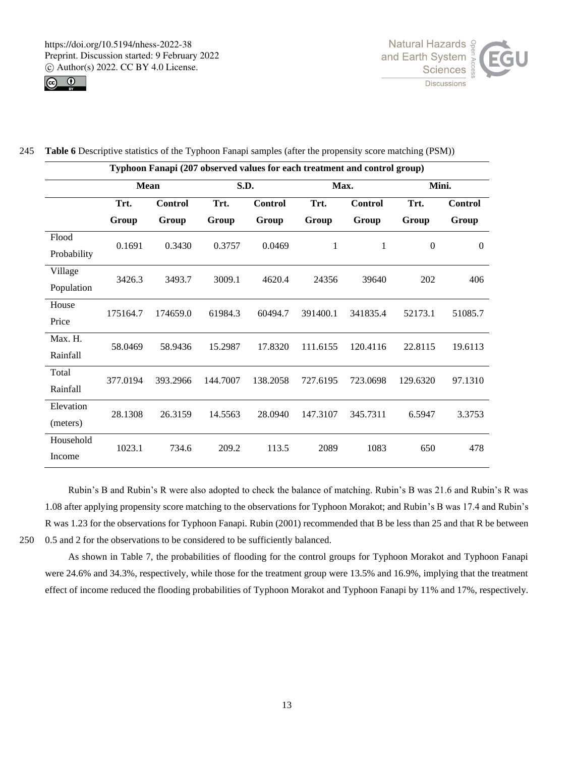



|  |  | 245 Table 6 Descriptive statistics of the Typhoon Fanapi samples (after the propensity score matching (PSM)) |  |  |  |  |
|--|--|--------------------------------------------------------------------------------------------------------------|--|--|--|--|
|--|--|--------------------------------------------------------------------------------------------------------------|--|--|--|--|

|             | Typhoon Fanapi (207 observed values for each treatment and control group) |                |          |                |          |              |              |                |
|-------------|---------------------------------------------------------------------------|----------------|----------|----------------|----------|--------------|--------------|----------------|
|             | <b>Mean</b>                                                               |                | S.D.     |                | Max.     |              | Mini.        |                |
|             | Trt.                                                                      | <b>Control</b> | Trt.     | <b>Control</b> | Trt.     | Control      | Trt.         | <b>Control</b> |
|             | Group                                                                     | Group          | Group    | Group          | Group    | Group        | Group        | Group          |
| Flood       | 0.1691                                                                    | 0.3430         | 0.3757   | 0.0469         | 1        | $\mathbf{1}$ | $\mathbf{0}$ | $\mathbf{0}$   |
| Probability |                                                                           |                |          |                |          |              |              |                |
| Village     | 3426.3                                                                    | 3493.7         | 3009.1   | 4620.4         | 24356    | 39640        | 202          | 406            |
| Population  |                                                                           |                |          |                |          |              |              |                |
| House       | 175164.7                                                                  | 174659.0       | 61984.3  | 60494.7        | 391400.1 | 341835.4     | 52173.1      | 51085.7        |
| Price       |                                                                           |                |          |                |          |              |              |                |
| Max. H.     | 58.0469                                                                   | 58.9436        | 15.2987  | 17.8320        | 111.6155 | 120.4116     | 22.8115      | 19.6113        |
| Rainfall    |                                                                           |                |          |                |          |              |              |                |
| Total       | 377.0194                                                                  | 393.2966       | 144.7007 | 138.2058       | 727.6195 | 723.0698     | 129.6320     | 97.1310        |
| Rainfall    |                                                                           |                |          |                |          |              |              |                |
| Elevation   | 28.1308                                                                   | 26.3159        | 14.5563  | 28.0940        | 147.3107 | 345.7311     | 6.5947       | 3.3753         |
| (meters)    |                                                                           |                |          |                |          |              |              |                |
| Household   | 1023.1                                                                    | 734.6          | 209.2    | 113.5          | 2089     | 1083         | 650          | 478            |
| Income      |                                                                           |                |          |                |          |              |              |                |

Rubin's B and Rubin's R were also adopted to check the balance of matching. Rubin's B was 21.6 and Rubin's R was 1.08 after applying propensity score matching to the observations for Typhoon Morakot; and Rubin's B was 17.4 and Rubin's R was 1.23 for the observations for Typhoon Fanapi. Rubin (2001) recommended that B be less than 25 and that R be between 250 0.5 and 2 for the observations to be considered to be sufficiently balanced.

As shown in Table 7, the probabilities of flooding for the control groups for Typhoon Morakot and Typhoon Fanapi were 24.6% and 34.3%, respectively, while those for the treatment group were 13.5% and 16.9%, implying that the treatment effect of income reduced the flooding probabilities of Typhoon Morakot and Typhoon Fanapi by 11% and 17%, respectively.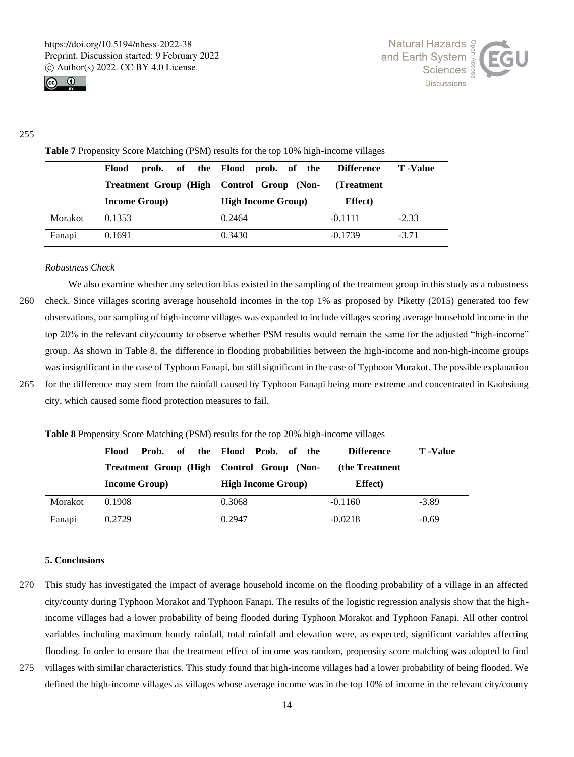



## 255

**Table 7** Propensity Score Matching (PSM) results for the top 10% high-income villages

|         | Flood                                     | prob. of the Flood prob. of the | <b>Difference</b> | T -Value |
|---------|-------------------------------------------|---------------------------------|-------------------|----------|
|         | Treatment Group (High Control Group (Non- |                                 | (Treatment)       |          |
|         | <b>Income Group</b> )                     | <b>High Income Group</b> )      | <b>Effect</b> )   |          |
| Morakot | 0.1353                                    | 0.2464                          | $-0.1111$         | $-2.33$  |
| Fanapi  | 0.1691                                    | 0.3430                          | $-0.1739$         | $-3.71$  |

## *Robustness Check*

We also examine whether any selection bias existed in the sampling of the treatment group in this study as a robustness 260 check. Since villages scoring average household incomes in the top 1% as proposed by Piketty (2015) generated too few observations, our sampling of high-income villages was expanded to include villages scoring average household income in the top 20% in the relevant city/county to observe whether PSM results would remain the same for the adjusted "high-income" group. As shown in Table 8, the difference in flooding probabilities between the high-income and non-high-income groups was insignificant in the case of Typhoon Fanapi, but still significant in the case of Typhoon Morakot. The possible explanation 265 for the difference may stem from the rainfall caused by Typhoon Fanapi being more extreme and concentrated in Kaohsiung

city, which caused some flood protection measures to fail.

**Table 8** Propensity Score Matching (PSM) results for the top 20% high-income villages

|         | of<br>Flood<br>Prob.          | the Flood Prob. of the     | <b>Difference</b> | <b>T</b> -Value |
|---------|-------------------------------|----------------------------|-------------------|-----------------|
|         | <b>Treatment Group (High)</b> | Control Group (Non-        | (the Treatment)   |                 |
|         | <b>Income Group</b> )         | <b>High Income Group</b> ) | <b>Effect</b> )   |                 |
| Morakot | 0.1908                        | 0.3068                     | $-0.1160$         | $-3.89$         |
| Fanapi  | 0.2729                        | 0.2947                     | $-0.0218$         | $-0.69$         |

#### **5. Conclusions**

- 270 This study has investigated the impact of average household income on the flooding probability of a village in an affected city/county during Typhoon Morakot and Typhoon Fanapi. The results of the logistic regression analysis show that the highincome villages had a lower probability of being flooded during Typhoon Morakot and Typhoon Fanapi. All other control variables including maximum hourly rainfall, total rainfall and elevation were, as expected, significant variables affecting flooding. In order to ensure that the treatment effect of income was random, propensity score matching was adopted to find
- 275 villages with similar characteristics. This study found that high-income villages had a lower probability of being flooded. We defined the high-income villages as villages whose average income was in the top 10% of income in the relevant city/county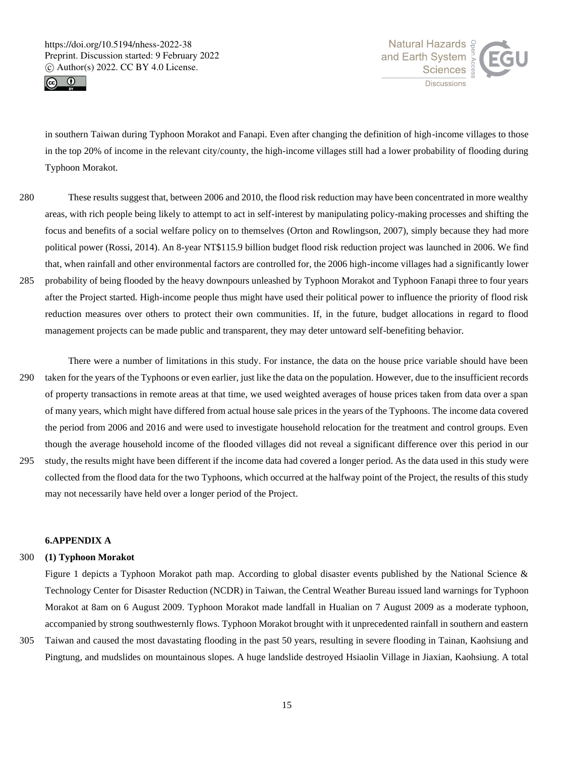



in southern Taiwan during Typhoon Morakot and Fanapi. Even after changing the definition of high-income villages to those in the top 20% of income in the relevant city/county, the high-income villages still had a lower probability of flooding during Typhoon Morakot.

- 280 These results suggest that, between 2006 and 2010, the flood risk reduction may have been concentrated in more wealthy areas, with rich people being likely to attempt to act in self-interest by manipulating policy-making processes and shifting the focus and benefits of a social welfare policy on to themselves (Orton and Rowlingson, 2007), simply because they had more political power (Rossi, 2014). An 8-year NT\$115.9 billion budget flood risk reduction project was launched in 2006. We find that, when rainfall and other environmental factors are controlled for, the 2006 high-income villages had a significantly lower 285 probability of being flooded by the heavy downpours unleashed by Typhoon Morakot and Typhoon Fanapi three to four years after the Project started. High-income people thus might have used their political power to influence the priority of flood risk reduction measures over others to protect their own communities. If, in the future, budget allocations in regard to flood management projects can be made public and transparent, they may deter untoward self-benefiting behavior.
- There were a number of limitations in this study. For instance, the data on the house price variable should have been 290 taken for the years of the Typhoons or even earlier, just like the data on the population. However, due to the insufficient records of property transactions in remote areas at that time, we used weighted averages of house prices taken from data over a span of many years, which might have differed from actual house sale prices in the years of the Typhoons. The income data covered the period from 2006 and 2016 and were used to investigate household relocation for the treatment and control groups. Even though the average household income of the flooded villages did not reveal a significant difference over this period in our
- 295 study, the results might have been different if the income data had covered a longer period. As the data used in this study were collected from the flood data for the two Typhoons, which occurred at the halfway point of the Project, the results of this study may not necessarily have held over a longer period of the Project.

# **6.APPENDIX A**

## 300 **(1) Typhoon Morakot**

Figure 1 depicts a Typhoon Morakot path map. According to global disaster events published by the National Science & Technology Center for Disaster Reduction (NCDR) in Taiwan, the Central Weather Bureau issued land warnings for Typhoon Morakot at 8am on 6 August 2009. Typhoon Morakot made landfall in Hualian on 7 August 2009 as a moderate typhoon, accompanied by strong southwesternly flows. Typhoon Morakot brought with it unprecedented rainfall in southern and eastern

305 Taiwan and caused the most davastating flooding in the past 50 years, resulting in severe flooding in Tainan, Kaohsiung and Pingtung, and mudslides on mountainous slopes. A huge landslide destroyed Hsiaolin Village in Jiaxian, Kaohsiung. A total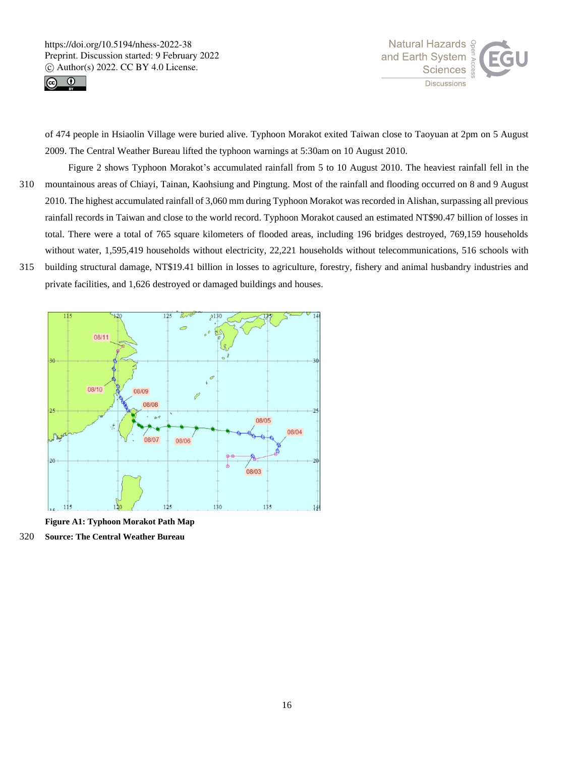



of 474 people in Hsiaolin Village were buried alive. Typhoon Morakot exited Taiwan close to Taoyuan at 2pm on 5 August 2009. The Central Weather Bureau lifted the typhoon warnings at 5:30am on 10 August 2010.

- Figure 2 shows Typhoon Morakot's accumulated rainfall from 5 to 10 August 2010. The heaviest rainfall fell in the 310 mountainous areas of Chiayi, Tainan, Kaohsiung and Pingtung. Most of the rainfall and flooding occurred on 8 and 9 August 2010. The highest accumulated rainfall of 3,060 mm during Typhoon Morakot was recorded in Alishan, surpassing all previous rainfall records in Taiwan and close to the world record. Typhoon Morakot caused an estimated NT\$90.47 billion of losses in total. There were a total of 765 square kilometers of flooded areas, including 196 bridges destroyed, 769,159 households without water, 1,595,419 households without electricity, 22,221 households without telecommunications, 516 schools with 315 building structural damage, NT\$19.41 billion in losses to agriculture, forestry, fishery and animal husbandry industries and
- private facilities, and 1,626 destroyed or damaged buildings and houses.



**Figure A1: Typhoon Morakot Path Map**

320 **Source: The Central Weather Bureau**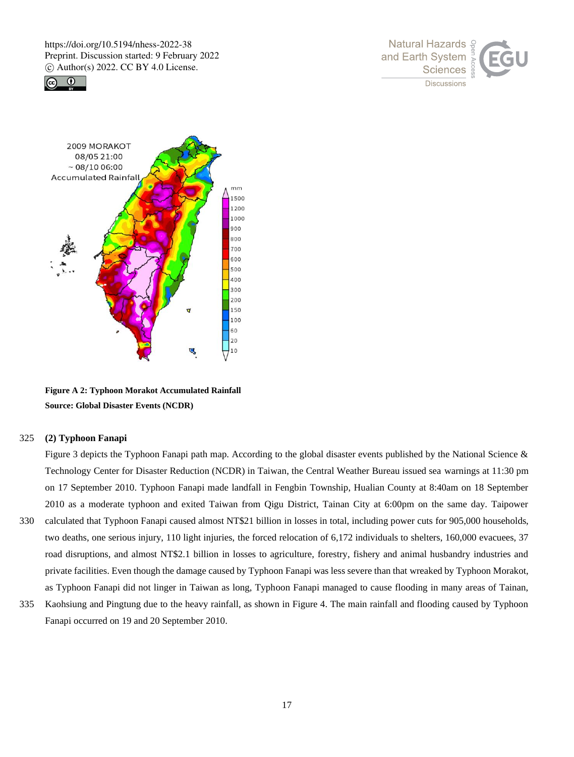





**Figure A 2: Typhoon Morakot Accumulated Rainfall Source: Global Disaster Events (NCDR)**

# 325 **(2) Typhoon Fanapi**

Figure 3 depicts the Typhoon Fanapi path map. According to the global disaster events published by the National Science & Technology Center for Disaster Reduction (NCDR) in Taiwan, the Central Weather Bureau issued sea warnings at 11:30 pm on 17 September 2010. Typhoon Fanapi made landfall in Fengbin Township, Hualian County at 8:40am on 18 September 2010 as a moderate typhoon and exited Taiwan from Qigu District, Tainan City at 6:00pm on the same day. Taipower 330 calculated that Typhoon Fanapi caused almost NT\$21 billion in losses in total, including power cuts for 905,000 households, two deaths, one serious injury, 110 light injuries, the forced relocation of 6,172 individuals to shelters, 160,000 evacuees, 37 road disruptions, and almost NT\$2.1 billion in losses to agriculture, forestry, fishery and animal husbandry industries and private facilities. Even though the damage caused by Typhoon Fanapi was less severe than that wreaked by Typhoon Morakot, as Typhoon Fanapi did not linger in Taiwan as long, Typhoon Fanapi managed to cause flooding in many areas of Tainan,

335 Kaohsiung and Pingtung due to the heavy rainfall, as shown in Figure 4. The main rainfall and flooding caused by Typhoon Fanapi occurred on 19 and 20 September 2010.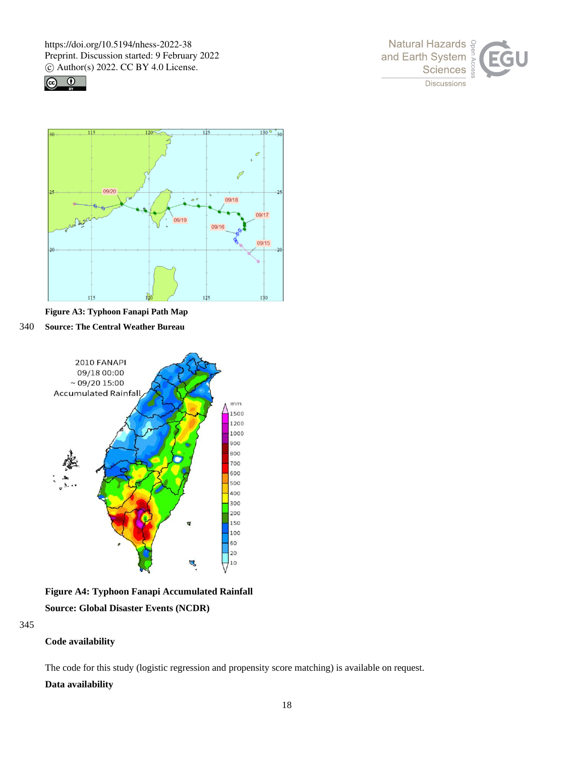





**Figure A3: Typhoon Fanapi Path Map**

340 **Source: The Central Weather Bureau**



**Figure A4: Typhoon Fanapi Accumulated Rainfall Source: Global Disaster Events (NCDR)**

345

# **Code availability**

The code for this study (logistic regression and propensity score matching) is available on request.

# **Data availability**